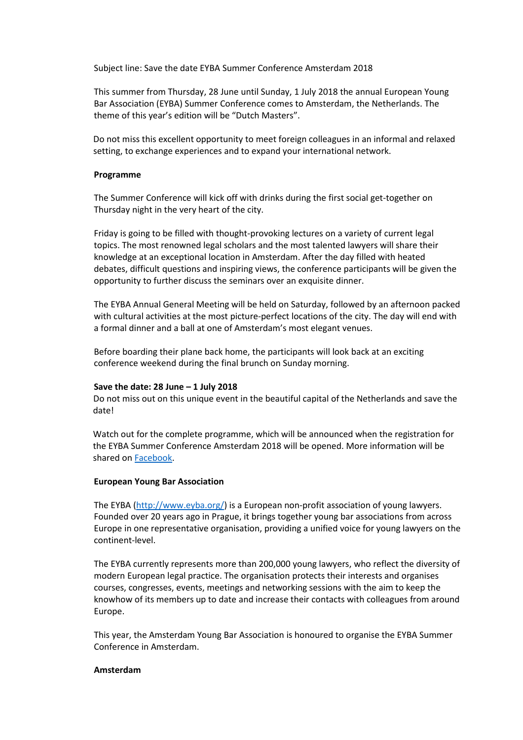Subject line: Save the date EYBA Summer Conference Amsterdam 2018

This summer from Thursday, 28 June until Sunday, 1 July 2018 the annual European Young Bar Association (EYBA) Summer Conference comes to Amsterdam, the Netherlands. The theme of this year's edition will be "Dutch Masters".

Do not miss this excellent opportunity to meet foreign colleagues in an informal and relaxed setting, to exchange experiences and to expand your international network.

## **Programme**

The Summer Conference will kick off with drinks during the first social get-together on Thursday night in the very heart of the city.

Friday is going to be filled with thought-provoking lectures on a variety of current legal topics. The most renowned legal scholars and the most talented lawyers will share their knowledge at an exceptional location in Amsterdam. After the day filled with heated debates, difficult questions and inspiring views, the conference participants will be given the opportunity to further discuss the seminars over an exquisite dinner.

The EYBA Annual General Meeting will be held on Saturday, followed by an afternoon packed with cultural activities at the most picture-perfect locations of the city. The day will end with a formal dinner and a ball at one of Amsterdam's most elegant venues.

Before boarding their plane back home, the participants will look back at an exciting conference weekend during the final brunch on Sunday morning.

## **Save the date: 28 June – 1 July 2018**

Do not miss out on this unique event in the beautiful capital of the Netherlands and save the date!

Watch out for the complete programme, which will be announced when the registration for the EYBA Summer Conference Amsterdam 2018 will be opened. More information will be shared on [Facebook.](https://www.facebook.com/events/1986806818026271/)

## **European Young Bar Association**

The EYBA [\(http://www.eyba.org/\)](http://www.eyba.org/) is a European non-profit association of young lawyers. Founded over 20 years ago in Prague, it brings together young bar associations from across Europe in one representative organisation, providing a unified voice for young lawyers on the continent-level.

The EYBA currently represents more than 200,000 young lawyers, who reflect the diversity of modern European legal practice. The organisation protects their interests and organises courses, congresses, events, meetings and networking sessions with the aim to keep the knowhow of its members up to date and increase their contacts with colleagues from around Europe.

This year, the Amsterdam Young Bar Association is honoured to organise the EYBA Summer Conference in Amsterdam.

## **Amsterdam**